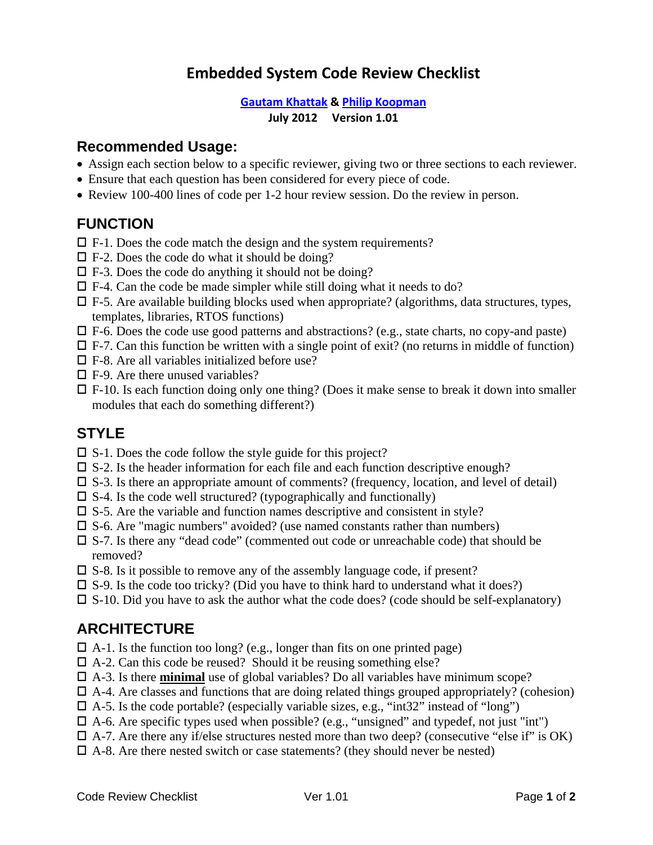# **Embedded System Code Review Checklist**

### **Gautam Khattak & Philip Koopman**

#### **July 2012 Version 1.01**

### **Recommended Usage:**

- Assign each section below to a specific reviewer, giving two or three sections to each reviewer.
- Ensure that each question has been considered for every piece of code.
- Review 100-400 lines of code per 1-2 hour review session. Do the review in person.

# **FUNCTION**

- $\square$  F-1. Does the code match the design and the system requirements?
- $\square$  F-2. Does the code do what it should be doing?
- $\Box$  F-3. Does the code do anything it should not be doing?
- $\square$  F-4. Can the code be made simpler while still doing what it needs to do?
- $\Box$  F-5. Are available building blocks used when appropriate? (algorithms, data structures, types, templates, libraries, RTOS functions)
- $\Box$  F-6. Does the code use good patterns and abstractions? (e.g., state charts, no copy-and paste)
- $\Box$  F-7. Can this function be written with a single point of exit? (no returns in middle of function)
- $\square$  F-8. Are all variables initialized before use?
- $\square$  F-9. Are there unused variables?
- $\Box$  F-10. Is each function doing only one thing? (Does it make sense to break it down into smaller modules that each do something different?)

## **STYLE**

- $\square$  S-1. Does the code follow the style guide for this project?
- $\square$  S-2. Is the header information for each file and each function descriptive enough?
- $\square$  S-3. Is there an appropriate amount of comments? (frequency, location, and level of detail)
- $\square$  S-4. Is the code well structured? (typographically and functionally)
- $\square$  S-5. Are the variable and function names descriptive and consistent in style?
- $\square$  S-6. Are "magic numbers" avoided? (use named constants rather than numbers)
- S-7. Is there any "dead code" (commented out code or unreachable code) that should be removed?
- $\square$  S-8. Is it possible to remove any of the assembly language code, if present?
- $\square$  S-9. Is the code too tricky? (Did you have to think hard to understand what it does?)
- $\square$  S-10. Did you have to ask the author what the code does? (code should be self-explanatory)

# **ARCHITECTURE**

- $\Box$  A-1. Is the function too long? (e.g., longer than fits on one printed page)
- $\Box$  A-2. Can this code be reused? Should it be reusing something else?
- $\Box$  A-3. Is there **minimal** use of global variables? Do all variables have minimum scope?
- $\Box$  A-4. Are classes and functions that are doing related things grouped appropriately? (cohesion)
- $\Box$  A-5. Is the code portable? (especially variable sizes, e.g., "int32" instead of "long")
- $\Box$  A-6. Are specific types used when possible? (e.g., "unsigned" and typedef, not just "int")
- $\Box$  A-7. Are there any if/else structures nested more than two deep? (consecutive "else if" is OK)
- $\Box$  A-8. Are there nested switch or case statements? (they should never be nested)